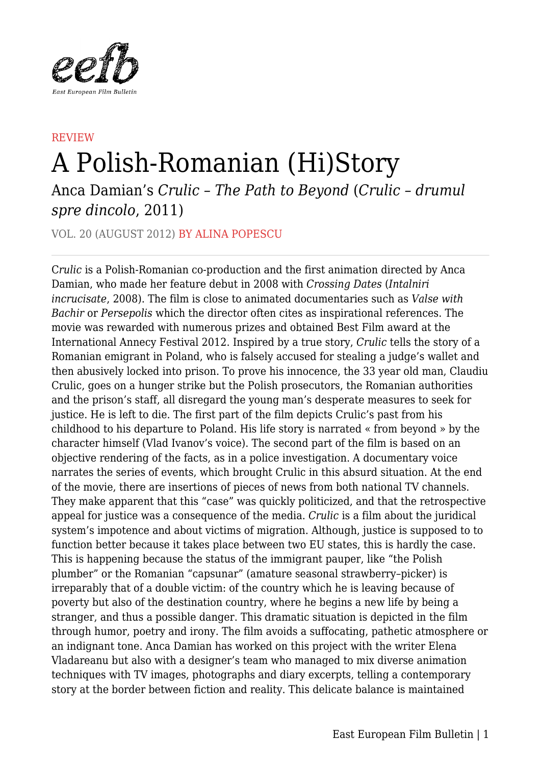

## **REVIEW** A Polish-Romanian (Hi)Story

Anca Damian's *Crulic – The Path to Beyond* (*Crulic – drumul spre dincolo*, 2011)

VOL. 20 (AUGUST 2012) BY ALINA POPESCU

C*rulic* is a Polish-Romanian co-production and the first animation directed by Anca Damian, who made her feature debut in 2008 with *Crossing Dates* (*Intalniri incrucisate*, 2008). The film is close to animated documentaries such as *Valse with Bachir* or *Persepolis* which the director often cites as inspirational references. The movie was rewarded with numerous prizes and obtained Best Film award at the International Annecy Festival 2012. Inspired by a true story, *Crulic* tells the story of a Romanian emigrant in Poland, who is falsely accused for stealing a judge's wallet and then abusively locked into prison. To prove his innocence, the 33 year old man, Claudiu Crulic, goes on a hunger strike but the Polish prosecutors, the Romanian authorities and the prison's staff, all disregard the young man's desperate measures to seek for justice. He is left to die. The first part of the film depicts Crulic's past from his childhood to his departure to Poland. His life story is narrated « from beyond » by the character himself (Vlad Ivanov's voice). The second part of the film is based on an objective rendering of the facts, as in a police investigation. A documentary voice narrates the series of events, which brought Crulic in this absurd situation. At the end of the movie, there are insertions of pieces of news from both national TV channels. They make apparent that this "case" was quickly politicized, and that the retrospective appeal for justice was a consequence of the media. *Crulic* is a film about the juridical system's impotence and about victims of migration. Although, justice is supposed to to function better because it takes place between two EU states, this is hardly the case. This is happening because the status of the immigrant pauper, like "the Polish plumber" or the Romanian "capsunar" (amature seasonal strawberry–picker) is irreparably that of a double victim: of the country which he is leaving because of poverty but also of the destination country, where he begins a new life by being a stranger, and thus a possible danger. This dramatic situation is depicted in the film through humor, poetry and irony. The film avoids a suffocating, pathetic atmosphere or an indignant tone. Anca Damian has worked on this project with the writer Elena Vladareanu but also with a designer's team who managed to mix diverse animation techniques with TV images, photographs and diary excerpts, telling a contemporary story at the border between fiction and reality. This delicate balance is maintained